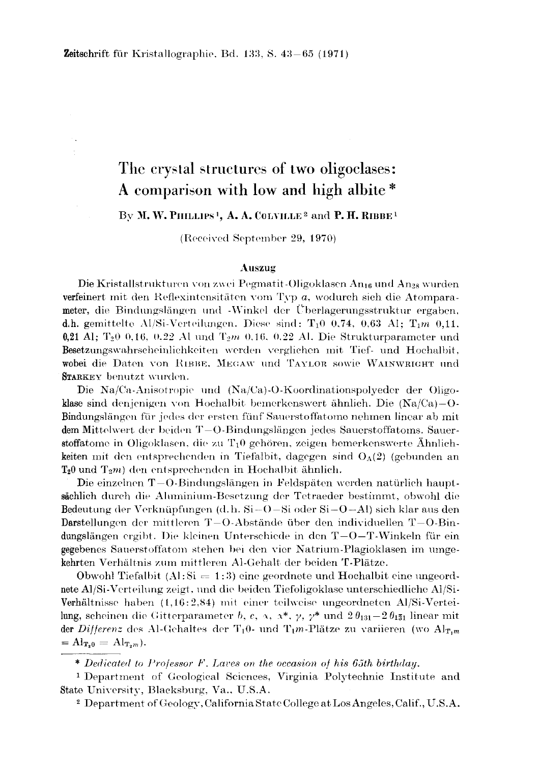# The crystal structures of two oligoclases: A comparison with low and high albite\*

### By M. W. PHILLIPS<sup>1</sup>, A. A. COLVILLE<sup>2</sup> and P. H. RIBBE<sup>1</sup>

(Received September 29, 1970)

#### Auszug

Die Kristallstrukturen von zwei Pegmatit-Oligoklasen An<sub>16</sub> und An<sub>28</sub> wurden verfeinert mit den Reflexintensitäten vom Typ a, wodurch sich die Atomparameter, die Bindungslängen und -Winkel der Überlagerungsstruktur ergaben. d.h. gemittelte Al/Si-Verteilungen. Diese sind: T<sub>1</sub>0 0.74, 0.63 Al; T<sub>1</sub>m 0.11, 0,21 Al; T<sub>2</sub>0 0,16, 0,22 Al und T<sub>2</sub>m 0,16, 0,22 Al. Die Strukturparameter und Besetzungswahrscheinlichkeiten werden verglichen mit Tief- und Hochalbit, wobei die Daten von RIBBE, MEGAW und TAYLOR sowie WAINWRIGHT und STARKEY benutzt wurden.

Die Na/Ca-Anisotropie und (Na/Ca)-O-Koordinationspolyeder der Oligoklase sind denjenigen von Hochalbit bemerkenswert ähnlich. Die  $(Na/Ca)-O$ Bindungslängen für jedes der ersten fünf Sauerstoffatome nehmen linear ab mit dem Mittelwert der beiden  $T-O-Bindungslängen$  jedes Saucrstoffatoms. Sauerstoffatome in Oligoklasen, die zu  $T_10$  gehören, zeigen bemerkenswerte Ähnlichkeiten mit den entsprechenden in Tiefalbit, dagegen sind  $O_A(2)$  (gebunden an  $T_20$  und  $T_2m$  den entsprechenden in Hochalbit ähnlich.

Die einzelnen  $T-O$ -Bindungslängen in Feldspäten werden natürlich hauptsächlich durch die Aluminium-Besetzung der Tetraeder bestimmt, obwohl die Bedeutung der Verknüpfungen (d. h.  $Si-O-Si$  oder  $Si-O-Al$ ) sich klar aus den Darstellungen der mittleren  $T-O$ -Abstände über den individuellen  $T-O-Bin$ dungslängen ergibt. Die kleinen Unterschiede in den  $T-O-T-Winkeln$  für ein gegebenes Sauerstoffatom stehen bei den vier Natrium-Plagioklasen im umgekehrten Verhältnis zum mittleren Al-Gehalt der beiden T-Plätze.

Obwohl Tiefalbit  $(A|\cdot S) = 1:3$  eine geordnete und Hochalbit eine ungeordnete Al/Si-Verteilung zeigt, und die beiden Tiefoligoklase unterschiedliche Al/Si-Verhältnisse haben (1,16:2,84) mit einer teilweise ungeordneten Al/Si-Verteilung, scheinen die Gitterparameter b, c, x, x\*,  $\gamma$ ,  $\gamma^*$  und  $2\theta_{131}-2\theta_{131}$  linear mit der Differenz des Al-Gehaltes der T<sub>1</sub>0- und T<sub>1</sub>m-Plätze zu variieren (wo Al<sub>T<sub>1</sub>m</sub>)  $=\mathrm{Al}_{\mathrm{T}_20}=\mathrm{Al}_{\mathrm{T}_2m}$ ).

\* Dedicated to Professor F. Laves on the occasion of his 65th birthday.

<sup>1</sup> Department of Geological Sciences, Virginia Polytechnic Institute and State University, Blacksburg, Va., U.S.A.

<sup>2</sup> Department of Geology, California State College at Los Angeles, Calif., U.S.A.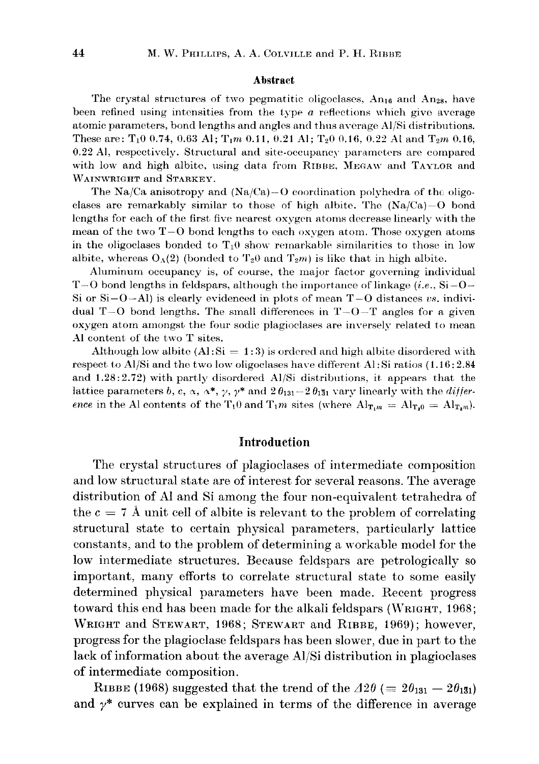#### Abstract

The crystal structures of two pegmatitic oligoclases,  $An_{16}$  and  $An_{28}$ , have been refined using intensities from the type *a* reflections which give average atomic parameters, bond lengths and anglcs and thus avcrage Al/Si distributions. These are: T<sub>1</sub>0 0.74, 0.63 Al; T<sub>1</sub>m 0.11, 0.21 Al; T<sub>2</sub>0 0.16, 0.22 Al and T<sub>2</sub>m 0.16, 0.22 Al, respectively. Structural and site-occupancy parameters are compared with low and high albite, using data from RIBBE, MEGAW and TAYLOR and WAINWRIGHT and STARKEY.

The Na/Ca anisotropy and (Na/Ca)-O coordination polyhedra of the oligoclases are remarkably similar to those of high albite. The  $(Na/Ca)-O$  bond lengths for each of the first five nearest oxygen atoms decrease linearly with the mean of the two  $T-O$  bond lengths to each oxygen atom. Those oxygen atoms in the oligoclases bonded to  $T_1$ 0 show remarkable similarities to those in low albite, whereas  $O_A(2)$  (bonded to  $T_2\omega$  and  $T_2m$ ) is like that in high albite.

Aluminum occupancy is, of course, the major factor governing individual 1'-0 bond lengths in feldspars, although the importance of linkage *(i.e.,* Si-O-Si or  $Si-O-Al$ ) is clearly evidenced in plots of mean  $T-O$  distances vs. individual  $T-O$  bond lengths. The small differences in  $T-O-T$  angles for a given oxygen atorn amongst the four sodic plagioclases are inversely related to mean Al content of the two T sites.

Although low albite  $(A1:Si = 1:3)$  is ordered and high albite disordered with respect to Al/Si and the two low oligoclases have different AI: Si ratios (1.16: 2.84 and  $1.28:2.72$ ) with partly disordered Al/Si distributions, it appears that the lattice parameters *b*, *c*,  $\alpha$ ,  $\alpha^*$ ,  $\gamma$ ,  $\gamma^*$  and  $2\theta_{131} - 2\theta_{131}$  vary linearly with the *difference* in the Al contents of the  $T_10$  and  $T_1m$  sites (where  $Al_{T_1m} = Al_{T_20} = Al_{T_2m}$ ).

# **Introduction**

The crystal structures of plagioclases of intermediate composition and low structural state are of interest for several reasons. The average distribution of Al and Si among the four non-equivalent tetrahedra of the  $c = 7$  Å unit cell of albite is relevant to the problem of correlating structural state to certain physical parameters, particularly lattice constants, and to the problem of determining a workable model for the low intermediate structures. Because feldspars are petrologically so important, many efforts to correlate structural state to some easily determined physical parameters have been made. Recent progress toward this end has been made for the alkali feldspars (WRIGHT, 1968; WRIGHT and STEWART, 1968; STEWART and RIBBE, 1969); however, progress for the plagioclase feldspars has been slower, due in part to the lack of information about the average AI/Si distribution in plagioclases of intermediate composition.

RIBBE (1968) suggested that the trend of the  $\Delta 2\theta (= 2\theta_{131} - 2\theta_{131})$ and  $y^*$  curves can be explained in terms of the difference in average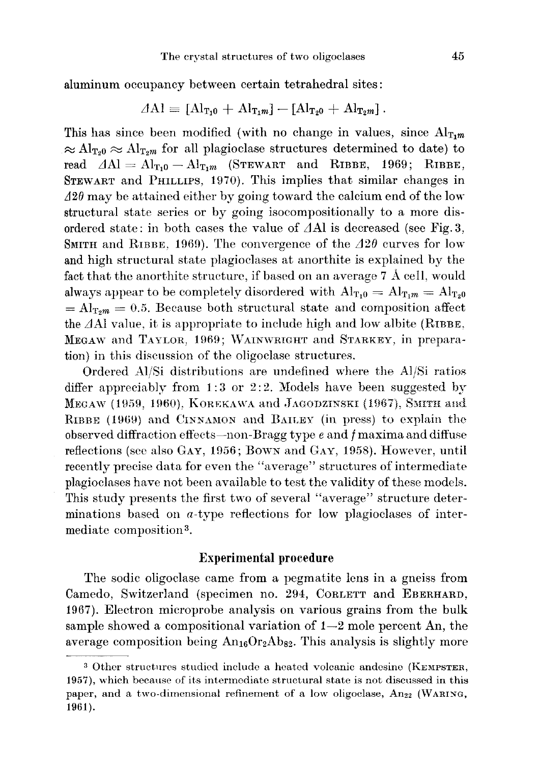aluminum occupancy between certain tetrahedral sites:

$$
\varDelta \mathrm{Al} \equiv \left[ \mathrm{Al}_{\mathrm{T}_1 0} + \mathrm{Al}_{\mathrm{T}_1 m} \right] - \left[ \mathrm{Al}_{\mathrm{T}_2 0} + \mathrm{Al}_{\mathrm{T}_2 m} \right].
$$

This has since been modified (with no change in values, since  $Al_{T_1m}$  $\approx Al_{\text{T}_20} \approx Al_{\text{T}_2m}$  for all plagioclase structures determined to date) to read  $\Delta A = A l_{T_10} - A l_{T_1m}$  (STEWART and RIBBE, 1969; RIBBE, STEWART and PHILLIPS, 1970). This implies that similar changes in  $\Delta 2\theta$  may be attained either by going toward the calcium end of the low structural state series or by going isocompositionally to a more disordered state: in both cases the value of  $\Delta$ Al is decreased (see Fig. 3, SMITH and RIBBE, 1969). The convergence of the  $\Delta 2\theta$  curves for low and high structural state plagioclases at anorthite is explained by the fact that the anorthite structure, if based on an average 7 A cell, would always appear to be completely disordered with  $Al_{T_10} = Al_{T_1m} = Al_{T_20}$  $= Al_{T_2m} = 0.5$ . Because both structural state and composition affect the  $\Delta$ Al value, it is appropriate to include high and low albite (RIBBE, MEGAW and TAYLOR, 1969; WAINWRIGHT and STARKEY, in preparation) in this discussion of the oligoclase structures.

Ordered *AI/Si* distributions are undefined where the *Al/Si* ratios differ appreciably from 1:3 or 2:2. Models have been suggested by MEGAW (1959, 1960), KOREKAWA and JAGODZINSKI (1967), SMITH and RIBBE (1969) and CINNAMON and BAILEY (in press) to explain the observed diffraction effects-non -Bragg type e and *f* maxima and diffuse reflections (see also GAY, 1956; Bown and GAY, 1958). However, until recently precise data for even the "average" structures of intermediate plagioclases have not been available to test the validity of these models. This study presents the first two of several "average" structure determinations based on  $a$ -type reflections for low plagioclases of intermediate composition 3.

# **Experimental procedure**

The sodie oligoclase came from a pegmatite lens in a gneiss from Camedo, Switzerland (specimen no. 294, CORLETT and EBERHARD, 1967). Electron microprobe analysis on various grains from the bulk sample showed a compositional variation of  $1-2$  mole percent An, the average composition being  $An_{16}Or_2Ab_{82}$ . This analysis is slightly more

<sup>&</sup>lt;sup>3</sup> Other structures studied include a heated volcanic andesine (KEMPSTER, 1957), which because of its intermediate structural state is not discussed in this paper, and a two-dimensional refinement of a low oligoclase, An<sub>22</sub> (WARING, 1961).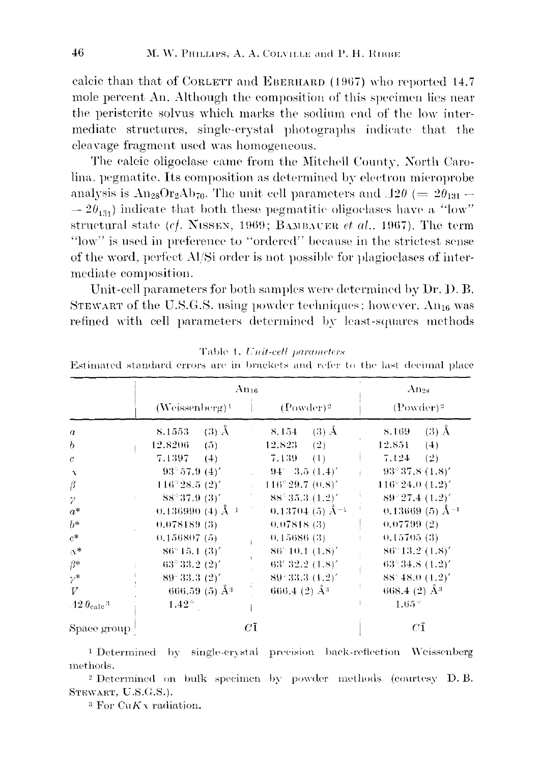calcic than that of CORLETT and EBERHARD (1967) who reported 14.7 mole percent An. Although the composition of this specimen lies near the peristerite solvus which marks the sodium end of the low intermediate structures, single-crystal photographs indicate that the cleavage fragment used was homogeneous.

The calcic oligoclase came from the Mitchell County, North Carolina, pegmatite. Its composition as determined by electron microprobe analysis is  $\text{An}_{28}\text{Or}_{2}\text{Ab}_{70}$ . The unit cell parameters and  $\Delta 2\theta$  (=  $2\theta_{131}$  –  $-2\theta_{151}$  indicate that both these pegmatitic oligoclases have a "low" structural state (cf. NISSEN, 1969; BAMBAUER et al., 1967). The term "low" is used in preference to "ordered" because in the strictest sense of the word, perfect Al/Si order is not possible for plagioclases of intermediate composition.

Unit-cell parameters for both samples were determined by Dr. D. B. STEWART of the U.S.G.S. using powder techniques; however,  $An_{16}$  was refined with cell parameters determined by least-squares methods

|                                      | $\rm{Au}_{16}$                    |                                   | $An_{28}$                         |
|--------------------------------------|-----------------------------------|-----------------------------------|-----------------------------------|
|                                      | $(Weissenberg)^1$                 | $(Power)^2$                       | $(Power)^2$                       |
| $\boldsymbol{a}$                     | $\langle$ (3) $\AA$<br>8.1553     | $(3)$ Å<br>8.154                  | $(3)$ Å<br>8.169                  |
| b                                    | 12.8206<br>(5)                    | $12.823$ (2)                      | 12.851<br>(4)                     |
| $\mathfrak{c}$                       | 7.1397<br>(4)                     | 7.139<br>(1)                      | 7.124<br>(2)                      |
| $\chi$                               | $93^{\circ}57.9(4)'$              | $-94 - 3.5(1.4)$                  | $93^{\circ}37.8(1.8)^{\prime}$    |
| $\beta$                              | $116^{\circ}$ 28.5 $(2)^{\prime}$ | $116^{\circ}29.7(0.8)^{\prime}$   | $116^{\circ} 24.0 (1.2)^{\prime}$ |
| $\gamma$                             | $88^{\circ}37.9(3)^{\prime}$      | $88^{\circ}35.3(1.2)^{\prime}$    | $89^{\circ}27.4(1.2)^{\prime}$    |
| $a^*$                                | 0.136990 (4) $\AA^{-1}$           | $0.13704(5)$ Å <sup>-1</sup>      | $0.13669(5)$ Å <sup>-1</sup>      |
| $b*$                                 | 0.078189(3)                       | 0.07818(3)                        | 0.07799(2)                        |
| $c^*$                                | 0.156807(5)                       | 0,15686(3)                        | 0.15705(3)                        |
| $\alpha^*$                           | $86^{\circ}15.1(3)^{\prime}$      | $86^{\circ}10.1(1.8)^{\prime}$    | $86^{\circ}13.2(1.8)^{\prime}$    |
| $\beta^*$                            | $63^{\circ}33.2(2)^{\prime}$      | $63^{\circ}32.2(1.8)^{\prime}$    | $63^{\circ}34.8(1.2)^{\prime}$    |
| $\gamma^*$                           | $89^{\circ}33.3(2)^{\prime}$      | $89^{\degree}33.3(1.2)^{\degree}$ | $88^{\circ}48.0(1.2)^{\prime}$    |
| V                                    | 666.59 (5) $\AA$ <sup>3</sup>     | 666.4 (2) $\AA^3$                 | 668.4 (2) $\AA^3$                 |
| .12 $\theta_{\rm calc}$ <sup>3</sup> | $1.42^{\circ}$                    |                                   | $1.65^{\circ}$                    |
| Space group                          | $C\bar{1}$                        |                                   | $C\bar{1}$                        |

|  |  |  |  |  | Table 1. Unit-cell parameters |
|--|--|--|--|--|-------------------------------|
|--|--|--|--|--|-------------------------------|

Estimated standard errors are in brackets and refer to the last decimal place

<sup>1</sup> Determined by single-crystal precision back-reflection Weissenberg methods.

<sup>2</sup> Determined on bulk specimen by powder methods (courtesy D.B. STEWART, U.S.G.S.).

<sup>3</sup> For CuK<sub>x</sub> radiation.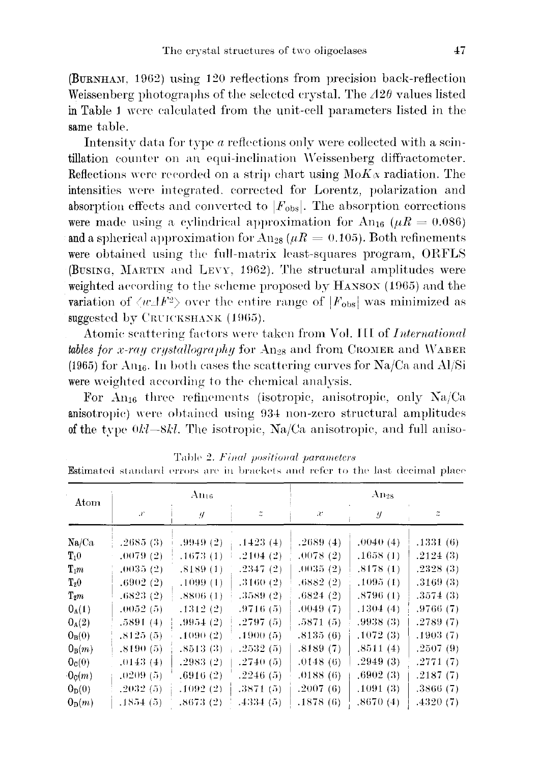$(BURNHAM, 1962)$  using 120 reflections from precision back-reflection Weissenberg photographs of the selected crystal. The *120* values listed in Table 1 were calculated from the unit-cell parameters listed in the same table.

Intensity data for type *a* reflections only were collected with a scintillation counter on an equi-inclination \Veissenberg diffractometer. Reflections were recorded on a strip chart using  $M \circ K \alpha$  radiation. The intensities were integrated. corrected for Lorentz, polarization and absorption effects and converted to  $|F_{obs}|$ . The absorption corrections were made using a cylindrical approximation for  $An_{16}$  ( $\mu R = 0.086$ ) and a spherical approximation for  $\text{An}_{28}(\mu R = 0.105)$ . Both refinements were obtained using the full-matrix least-squares program, ORFLS (BUSING, MARTIN and LEVY, 1962). The structural amplitudes were weighted according to the scheme proposed by  $H$ ANSON (1965) and the variation of  $\langle w \, | F^2 \rangle$  over the entire range of  $|F_{obs}|$  was minimized as suggested by CRUICKSHANK (1965).

Atomic scattering fac-tors were taken from Vol. **III** of *International tables for x-ray crystallography* for  $A_{128}$  and from CROMER and WABER (1965) for  $An_{16}$ . In both cases the scattering curves for  $Na/Ca$  and  $Al/Si$ were weighted according to the chemical analysis.

For  $An_{16}$  three refinements (isotropic, anisotropic, only  $Na/Ca$ anisotropic) were obtained using \)34 non-zero structural amplitudes of the type  $0k$ -8kl. The isotropic, Na/Ca anisotropic, and full aniso-

| Atom               |                 | $\rm{Au}_{16}$ |          |          | $An_{28}$ |          |
|--------------------|-----------------|----------------|----------|----------|-----------|----------|
|                    | $\mathcal{X}^*$ | y.             | z        | æ        | y         |          |
| Na/Ca              | .2685(3)        | .9949(2)       | .1423(4) | .2689(4) | .0040(4)  | .1331(6) |
| $\mathbf{T}_1 0$   | .0079(2)        | .1673(1)       | .2104(2) | .0078(2) | .1658(1)  | .2124(3) |
| $\mathbf{T}_1 m$   | .0035(2)        | .8189(1)       | .2347(2) | .0035(2) | .8178(1)  | .2328(3) |
| $T_20$             | .6902(2)        | .1099(1)       | .3160(2) | .6882(2) | .1095(1)  | .3169(3) |
| $\mathrm{T}_2m$    | ,6823(2)        | .8806(1)       | .3589(2) | .6824(2) | .8796(1)  | .3574(3) |
| $O_A(1)$           | .0052(5)        | .1312(2)       | .9716(5) | .0049(7) | .1304(4)  | .9766(7) |
| $0_A(2)$           | .5891(4)        | .9954(2)       | .2797(5) | .5871(5) | .9938(3)  | .2789(7) |
| $O_B(0)$           | .8125(5)        | .1090(2)       | .1900(5) | .8135(6) | .1072(3)  | .1903(7) |
| $0_B(m)$           | .8190(5)        | .8513(3)       | .2532(5) | .8189(7) | .8511(4)  | .2507(9) |
| 0 <sub>c</sub> (0) | .0143(4)        | .2983(2)       | .2740(5) | .0148(6) | .2949(3)  | .2771(7) |
| $0_{c}(m)$         | .0209(5)        | .6916(2)       | .2246(5) | .0188(6) | .6902(3)  | .2187(7) |
| $0_{\rm D}(0)$     | .2032(5)        | .1092(2)       | .3871(5) | .2007(6) | .1091(3)  | .3866(7) |
| $0_{\rm D}(m)$     | .1854(5)        | .8673(2)       | .4334(5) | .1878(6) | .8670(4)  | .4320(7) |

Table 2. *Final positional parameters* 

Estimated standard errors are in brackets and refer to the last decimal place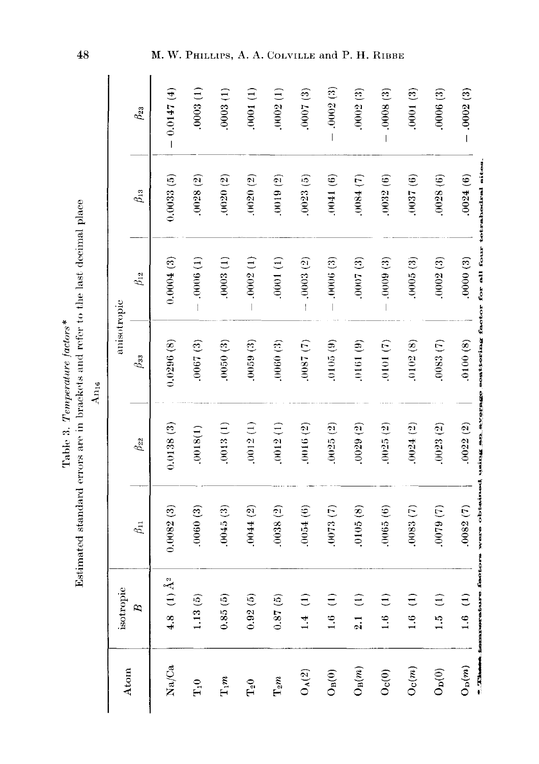| contained through     |                                                                               |
|-----------------------|-------------------------------------------------------------------------------|
|                       |                                                                               |
| Table 3. <i>Ten</i> . |                                                                               |
|                       |                                                                               |
|                       | Bstimated standard errors are in brackets and refer to the last decimal place |

An<sub>16</sub>

 $.0007(3)$  $.0002(3)$  $-0.0147(4)$  $.0003(1)$  $0003(1)$  $0001(1)$  $.0002(1)$  $-0002(3)$  $-0008(3)$  $.0001(3)$  $.0006(3)$  $-0.0002(3)$  $\beta_{23}$ were obtained using the average soattoring factor for all four tetrahedral sites  $.0037(6)$  $.0024(6)$  $0.0033(5)$  $.0032(6)$  $.0028(6)$  $.0028(2)$  $0020(2)$  $0020(2)$  $0019(2)$  $.0023(5)$  $.0041(6)$  $(0.84)(7)$  $\beta_{13}$  $.0000(3)$  $0.0004(3)$  $-0006(1)$  $0003(1)$  $-0002(1)$  $0001(1)$  $-0003(2)$  $-0006(3)$  $0007(3)$  $-0009(3)$  $.0005(3)$  $.0002(3)$  $\beta_{12}$ anisotropic  $(6161)$  $.0087(7)$  $0.0296(8)$  $.0067(3)$  $.0100(8)$  $0050(3)$  $0059(3)$  $0060(3)$  $(6105(9))$  $0101(7)$  $0083(7)$  $0102(8)$  $\beta_{33}$  $.0029(2)$  $.0022(2)$  $0.0138(3)$  $.0013(1)$  $.0012(1)$  $.0012(1)$ .0016 (2)  $.0025(2)$  $.0025(2)$  $.0024(2)$  $0023(2)$  $.0018(1)$  $\beta_{22}$  $0082(7)$  $0.0082(3)$  $.0060(3)$  $0045(3)$  $0044(2)$  $0038(2)$  $0054(6)$  $0073(7)$  $0105(8)$  $0065(6)$  $0083(7)$  $0079(7)$  $\theta_{11}$ іннальнагальзге . festions 4.8 (1)  $\AA^2$ isotropic  $1.13(5)$  $0.87(5)$  $1.4(1)$  $0.85(5)$  $0.92(5)$  $\widehat{E}$  $\widehat{\Xi}$  $\hat{E}$  $1.6(1)$  $\ominus$  $1.6(1)$  $\overline{B}$  $\frac{1}{21}$  $\frac{1}{2}$  $1.6$  $1.6$  $+$  .32 hammer  $Na/Ca$  $\mathrm{O}_\mathrm{B}(m)$  $\mathcal{O}_{\mathcal{C}}(m)$  $O_p(m)$ Atom  $\mathrm{O}_\mathrm{A}(2)$  $\rm O_{D}(0)$  $O_B(0)$  $\mathcal{O}_{\mathbf{C}}(0)$  $T_1m$  $\Gamma_2 m$  $\Gamma_{\!1}0$  $\rm T_{2}O$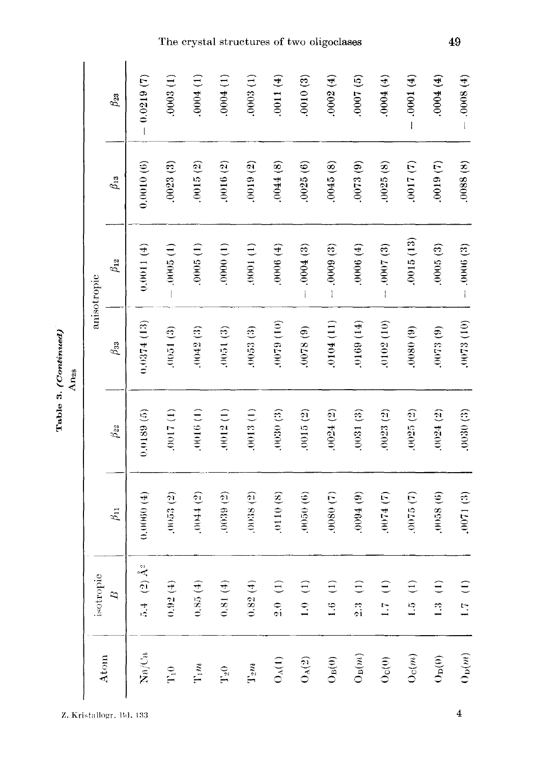Table 3. (Continued)<br>An<sub>28</sub>

|                              | isotropic                                                    |                |              |                | anisotropic  |              |              |
|------------------------------|--------------------------------------------------------------|----------------|--------------|----------------|--------------|--------------|--------------|
| Atom                         | $\overline{z}$                                               | $\beta_{11}$   | $\beta_{22}$ | $\beta_{33}$   | $\beta_{12}$ | $\beta_{13}$ | $\beta_{23}$ |
| $\mathrm{Na}/\mathrm{Ca}$    | $5.4$ (2) $\AA^2$                                            | 0.0060(4)      | 0.0189(5)    | 0.0374(13)     | 0.0011(4)    | 0.0010(6)    | $-0.0219(7)$ |
| $\Gamma_1$ 0                 | (1.92(4)                                                     | .0053(2)       | .0017(1)     | $(3)1600$ .    | $-0005(1)$   | .0023(3)     | .0003(1)     |
| $\Gamma(m$                   | 0.85(4)                                                      | (2)            | .0016(1)     | .0042(3)       | .0005(1)     | .0015(2)     | .0004(1)     |
| $T_{2}0$                     | 0.81(4)                                                      | .0039(2)       | .0012(1)     | .0051(3)       | .0000(1)     | .0016(2)     | .0004(1)     |
| $T_2m$                       | 0.82(4)                                                      | (0038(2)       | .0013(1)     | .0053(3)       | $(1)1000$ .  | .0019(2)     | .0003(1)     |
| $O_A(1)$                     | 2.0(1)                                                       | .0110(8)       | .0030(3)     | $(01)$ 6200.   | .0006(4)     | .0044(8)     | .0011(4)     |
| $O_A(2)$                     | $\left( \begin{matrix} 1 \end{matrix} \right)$<br>$\ddot{=}$ | (90,0050)      | .0015(2)     | .0078(9)       | $-0004(3)$   | .0025(6)     | .0010(3)     |
| $\rm O_B(0)$                 | $\widehat{E}$<br>1.6                                         | $(7)$ 0800.    | .0024(2)     | $(11)$ $10104$ | $-0009(3)$   | .0045(8)     | .0002(4)     |
| $\mathcal{O}_\mathcal{B}(m)$ | $\widehat{\Xi}$<br>$\frac{1}{2}$                             | $(6)$ #600     | .0031(3)     | $(14)$ 6910.   | (4)          | .0073(9)     | (9) 1000.    |
| $O_{\rm C}(0)$               | $\epsilon$<br>$\frac{17}{2}$                                 | .0074(7)       | .0023(2)     | .0102(10)      | $-0007(3)$   | .0025(8)     | $(4)$ +000.  |
| Oc(m)                        | $\widehat{\Xi}$<br>$\frac{1}{2}$                             | $(7)$ $6100$ . | .0025(2)     | (60, 0800)     | .0015(13)    | $(7)$ (7)    | $(-0001(4))$ |
| $O_D(0)$                     | $\widehat{E}$<br>1.3                                         | $(6)$ (6)      | .0024(2)     | .0073(9)       | .0005(3)     | .0019(7)     | $(4)$ +000.  |
| $\mathcal{O}_\mathcal{D}(m)$ | $\widehat{E}$<br>1.7                                         | .0071(3)       | .0030(3)     | .0073 (10)     | $-0006(3)$   | .0088(8)     | $(4)8000 -$  |

# The crystal structures of two oligoclases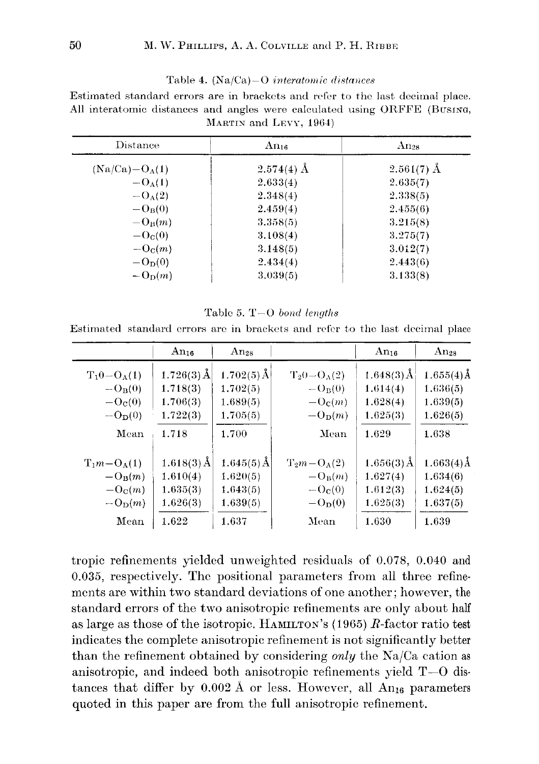#### Table 4. (Na/Ca)~O *interatomic distances*

Estimated standard errors are in brackets and refer to tho last decimal place. All interatomic distances and angles were calculated using ORFFE (BUSING, MARTIN and LEVY, 1964)

| Distance                      | $An_{16}$    | $Ans_{28}$   |
|-------------------------------|--------------|--------------|
| $(Na/Ca)-O_A(1)$              | $2.574(4)$ Å | $2.561(7)$ Å |
| $- O_A(1)$                    | 2.633(4)     | 2.635(7)     |
| $-O_A(2)$                     | 2.348(4)     | 2.338(5)     |
| $-\mathbf{O}_{\mathbf{B}}(0)$ | 2.459(4)     | 2.455(6)     |
| $-\mathrm{O}_B(m)$            | 3.358(5)     | 3.215(8)     |
| $-Oc(0)$                      | 3.108(4)     | 3.275(7)     |
| $-\mathrm{O}_c(m)$            | 3.148(5)     | 3.012(7)     |
| $-OD(0)$                      | 2.434(4)     | 2.443(6)     |
| $-OD(m)$                      | 3.039(5)     | 3.133(8)     |

Table 5. T-O *bond lenqths*

Estimated standard orrors aro in brackets and refer to tho last decimal place

|                               | $An_{16}$            | $An_{28}$           |                                          | $An_{16}$            | Ans <sub>28</sub> |
|-------------------------------|----------------------|---------------------|------------------------------------------|----------------------|-------------------|
| $T_10-O_A(1)$                 | $1.726(3)\text{\AA}$ | $1.702(5)\,\rm \AA$ | $T_20-O_A(2)$                            | $1.648(3)\text{\AA}$ | $1.655(4)\AA$     |
| $-Op(0)$                      | 1.718(3)             | 1.702(5)            | $-B(0)$                                  | 1.614(4)             | 1.636(5)          |
| $-\mathbf{O}_{\mathbf{C}}(0)$ | 1.706(3)             | 1.689(5)            | $-\mathrm{O}_c(m)$                       | 1.628(4)             | 1.639(5)          |
| $-Dn(0)$                      | 1.722(3)             | 1.705(5)            | $-\mathrm{O}_{\mathrm{D}}(m)$            | 1.625(3)             | 1.626(5)          |
| Mean                          | 1.718                | 1.700               | Mean                                     | 1.629                | 1.638             |
| $T_1m-O_A(1)$                 | $1.618(3)$ Å         | $1.645(5)$ Å        | $\mathrm{T}_2m-\mathrm{O}_\mathrm{A}(2)$ | $1.656(3)\AA$        | $1.663(4)\AA$     |
| $-\mathrm{O}_\mathrm{B}(m)$   | 1.610(4)             | 1.620(5)            | $-\mathrm{O}_\mathrm{B}(m)$              | 1.627(4)             | 1.634(6)          |
| $-\mathrm{O}_c(m)$            | 1.635(3)             | 1.643(5)            | $-c(0)$                                  | 1.612(3)             | 1,624(5)          |
| $-\mathrm{O}_{\mathrm{D}}(m)$ | 1.626(3)             | 1.639(5)            | $-OD(0)$                                 | 1.625(3)             | 1.637(5)          |
| Mean                          | 1.622                | 1.637               | Mean                                     | 1.630                | 1.639             |

tropic refinements yielded unweighted residuals of 0.078, 0.040 and 0.035, respectively. The positional parameters from all three refinements are within two standard deviations of one another; however, the standard errors of the two anisotropic refinements are only about half as large as those of the isotropic. HAMILTON'S(1965) R-factor ratio test indicates the complete anisotropic refinement is not significantly better than the refinement obtained by considering *only* the Na/Ca cation as anisotropic, and indeed both anisotropic refinements yield  $T-0$  distances that differ by  $0.002 \text{ Å}$  or less. However, all An<sub>16</sub> parameters quoted in this paper are from the full anisotropic refinement.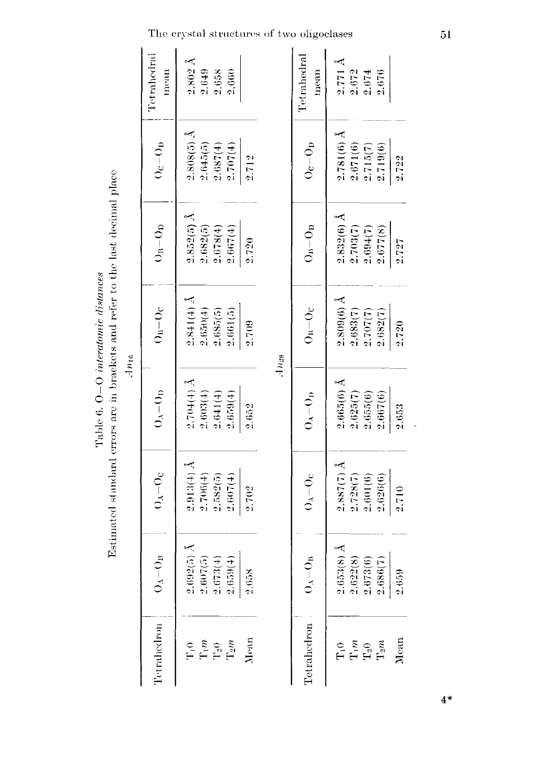|                                                                                                                                                                                                                                                                                                                                         | Tetrahedral<br>mean | $\begin{array}{l} 2.802 \text{ \AA} \\ 2.649 \\ 2.658 \\ 2.658 \end{array}$                                                        |              | Tetrahedral<br>mean   | $\begin{array}{c}\n 2.771 \text{ Å} \\ 2.672 \\ \hline\n 2.674 \\ 2.674\n \end{array}$             |
|-----------------------------------------------------------------------------------------------------------------------------------------------------------------------------------------------------------------------------------------------------------------------------------------------------------------------------------------|---------------------|------------------------------------------------------------------------------------------------------------------------------------|--------------|-----------------------|----------------------------------------------------------------------------------------------------|
|                                                                                                                                                                                                                                                                                                                                         | $\rm O_{C}-O_{D}$   | $2.808(5)$ Å<br>$2.645(5)$<br>$\begin{array}{c} 2.687(4) \\ 2.707(4) \end{array}$                                                  | 2.712        | $O_{\rm C}-O_{\rm D}$ | $\begin{array}{l} 2.781(6) \; \text{\AA} \\ 2.671(6) \\ 2.715(7) \\ 2.719(6) \end{array}$<br>2.722 |
| $\mathcal{L}^{(n)}$ , $\mathcal{L}^{(n)}$ , $\mathcal{L}^{(n)}$ , $\mathcal{L}^{(n)}$ , $\mathcal{L}^{(n)}$ , $\mathcal{L}^{(n)}$ , $\mathcal{L}^{(n)}$ , $\mathcal{L}^{(n)}$ , $\mathcal{L}^{(n)}$ , $\mathcal{L}^{(n)}$ , $\mathcal{L}^{(n)}$ , $\mathcal{L}^{(n)}$ , $\mathcal{L}^{(n)}$ , $\mathcal{L}^{(n)}$ , $\mathcal{L}^{(n)}$ | $O_B-O_D$           | $2.852(5)$ .<br>$\begin{array}{c} 2.682(5) \\ 2.678(4) \\ 2.667(4) \end{array}$                                                    | 2.720        | $\rm O_{B}-O_{D}$     | $\begin{array}{l} 2.832(6) \; \text{\AA} \\ 2.703(7) \\ 2.694(7) \\ 2.677(8) \end{array}$<br>2.727 |
| Am6                                                                                                                                                                                                                                                                                                                                     | $O_B-O_C$           | $\begin{array}{c} 2.841(4) \; \text{\AA} \\ 2.650(4) \\ 2.685(5) \end{array}$<br>2.661(5)                                          | 2.709<br>Any | $O_B-O_C$             | $2.809(6)$ Å<br>2.683(7)<br>2.707(7)<br>2.682(7)<br>2.720                                          |
|                                                                                                                                                                                                                                                                                                                                         | $O_A = O_D$         | $\begin{array}{l} 2.704(4) \,\text{\AA} \\ 2.603(4) \\ 2.641(4) \\ 2.641(4) \\ 2.659(4) \end{array}$                               | 2.652        | $O_A-O_D$             | $2.665(6)$ Å<br>$2.625(7)$<br>$2.655(6)$<br>2.667(6)<br>2.653                                      |
|                                                                                                                                                                                                                                                                                                                                         | $O_A - O_C$         | $2.913(4)$ Å<br>$\begin{array}{l} 2.706(4) \\ 2.582(5) \\ 2.607(4) \end{array}$                                                    | 2.702        | $O_A - O_C$           | $\begin{array}{c} 2.887(7) \text{ Å} \\ 2.728(7) \\ 2.601(6) \end{array}$<br>2.626(6)<br>2.710     |
|                                                                                                                                                                                                                                                                                                                                         | $O_A-O_B$           | $2.692(5)$ Å<br>$\begin{array}{c} 2.607(5) \\ 2.673(4) \end{array}$<br>2.659(4)                                                    | 2.658        | $0_A - 0_B$           | $2.653(8)$ Å<br>2.622(8)<br>2.673(6)<br>2.686(7)<br>2.659                                          |
|                                                                                                                                                                                                                                                                                                                                         | Tetrahedron         | Mean<br>$\begin{array}{l} \Gamma_1 \alpha \\ \Gamma_2 \alpha \\ \Gamma_2 \alpha \\ \Gamma_2 \alpha \\ \Gamma_3 \alpha \end{array}$ |              | Tetrahedron           | Mean<br>$\begin{array}{l} \Gamma_1m_2\\ \Gamma_2m_3\\ \Gamma_3m_1 \end{array}$                     |

Estimated standard errors are in brackets and refer to the last decimal place Table 6. O-O interatomic distances

The crystal structures of two oligoclases

 $51$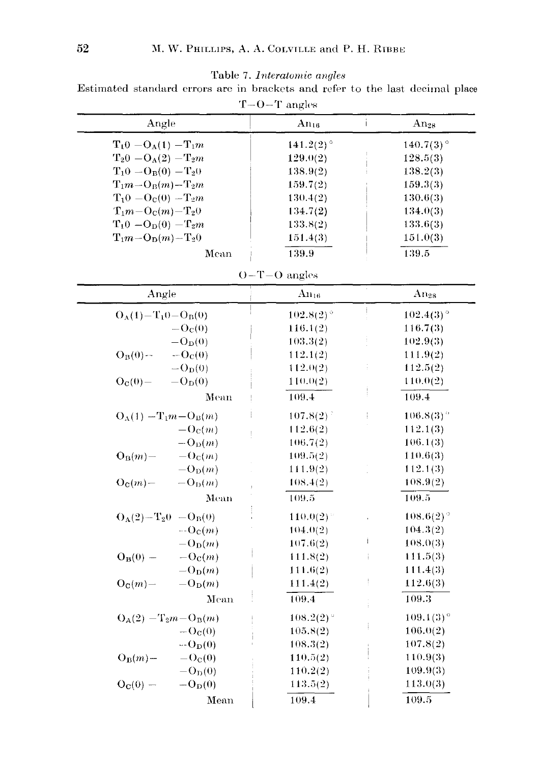Table 7. *interatomic angles*

Estimated standard errors arc in brackets and refer to the last decimal place  $T$ -O-T angles

| Angle                  | $\rm{An}_{16}$          | $An_{28}$    |
|------------------------|-------------------------|--------------|
| $T_10 - O_A(1) - T_1m$ | $141.2(2)$ <sup>o</sup> | $140.7(3)$ ° |
| $T_20 - O_A(2) - T_2m$ | 129.0(2)                | 128.5(3)     |
| $T_10 - O_B(0) - T_20$ | 138.9(2)                | 138.2(3)     |
| $T_1m-O_P(m)-T_2m$     | 159.7(2)                | 159.3(3)     |
| $T_10 = O_C(0) = T_2m$ | 130.4(2)                | 130.6(3)     |
| $T_1m-OC(m)-T_20$      | 134.7(2)                | 134.0(3)     |
| $T_10 - O_D(0) - T_2m$ | 133.8(2)                | 133.6(3)     |
| $T_1m-O_D(m)-T_20$     | 151.4(3)                | 151.0(3)     |
| Mean                   | 139.9                   | 139.5        |
|                        |                         |              |

|  |  | $O-T-O$ angle |  |
|--|--|---------------|--|
|  |  |               |  |

| Angle                                       | $\rm{An}_{16}$            | × | Ans <sub>28</sub>       |
|---------------------------------------------|---------------------------|---|-------------------------|
| $O_A(1) - T_1 0 - O_B(0)$                   | $102.8(2)^{\circ}$        |   | $102.4(3)$ <sup>o</sup> |
| $-Oc(0)$                                    | 116.1(2)                  |   | 116.7(3)                |
| $-O_{D}(0)$                                 | 103.3(2)                  |   | 102.9(3)                |
| $O_B(0)$ --<br>$-OC(0)$                     | 112.1(2)                  |   | 111.9(2)                |
| $-O_{D}(0)$                                 | 112.0(2)                  | š | 112.5(2)                |
| $Q_{C}(0) = -Q_{D}(0)$                      | 110.0(2)                  |   | 110.0(2)                |
| Mean                                        | 109.4                     |   | 109.4                   |
| $O_A(1) - T_1m - O_B(m)$                    | $(107.8(2))^2$            |   | $106.8(3)$ <sup>o</sup> |
| $-\mathrm{O}_\mathrm{C}(m)$                 | 112.6(2)<br>$\frac{1}{2}$ |   | 112.1(3)                |
| $-\mathrm{O}_{\mathrm{D}}(m)$               | 106.7(2)                  |   | 106.1(3)                |
| $-\Omega_{\rm C}(m)$<br>$O_B(m)$ -          | 109.5(2)                  |   | 110.6(3)                |
| $-\mathrm{O}_{\mathrm{D}}(m)$               | 111.9(2)                  |   | 112.1(3)                |
| $O_{\mathbf{C}}(m)$ –<br>$-O_D(m)$          | 108.4(2)                  |   | 108.9(2)                |
| Mean                                        | 109.5                     |   | 109.5                   |
| $O_A(2) - T_2 0$ $-O_B(0)$                  | 110.0(2)                  |   | $108.6(2)$ <sup>o</sup> |
| $- O_C(m)$                                  | 104.0(2)                  |   | 104.3(2)                |
| $-\mathrm{O}_{\mathrm{D}}(m)$               | 107.6(2)                  | Í | 108.0(3)                |
| $O_B(0)$ –<br>$-\mathrm{O}_c(m)$            | 111.8(2)                  | ŧ | 111.5(3)                |
| $-\mathrm{O}_{\mathrm{D}}(m)$               | 111.6(2)                  |   | 111.4(3)                |
| $O_C(m)$ –<br>$-\mathrm{O}_{\mathrm{D}}(m)$ | 111.4(2)                  | ļ | 112.6(3)                |
| Mean                                        | 109.4                     |   | 109.3                   |
| $O_A(2) - T_2m - O_B(m)$                    | 108.2(2)                  |   | $109.1(3)$ <sup>o</sup> |
| $- Oc(0)$                                   | 105.8(2)                  |   | 106.0(2)                |
| $-O_{D}(0)$                                 | 108.3(2)                  |   | 107.8(2)                |
| $O_B(m)$ -<br>$- O_C(0)$                    | 110.5(2)                  |   | 110.9(3)                |
| $-O_D(0)$                                   | 110.2(2)                  |   | 109.9(3)                |
| $O_C(0)$ —<br>$-O_{\text{D}}(0)$            | 113.5(2)                  |   | 113.0(3)                |
| Mean                                        | 109.4                     |   | 109.5                   |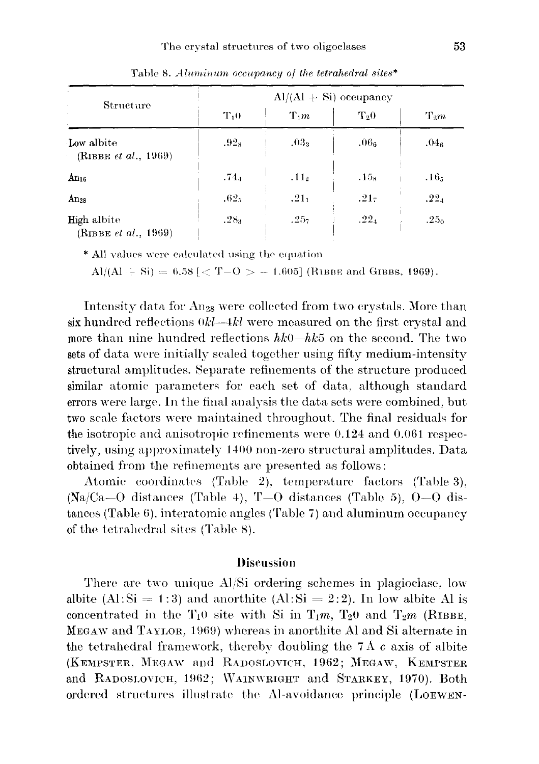|                                                    | $Al/(Al + Si)$ occupancy |                  |                  |                  |  |  |
|----------------------------------------------------|--------------------------|------------------|------------------|------------------|--|--|
| Structure                                          | $T_{1}0$                 | $T_1m$           | $T_{20}$         | $T_2m$           |  |  |
| Low albite<br>(RIBBE <i>et al.</i> , 1969)         | .92 <sub>8</sub>         | $.03_3$          | .06 <sub>e</sub> | .04 <sub>6</sub> |  |  |
| $An_{16}$                                          | .74.1                    | .11 <sub>2</sub> | $.15_8$          | $.16_{5}$        |  |  |
| $An_{28}$                                          | .62 <sub>5</sub>         | $.21_1$          | .217             | .22 <sub>4</sub> |  |  |
| <b>High albite</b><br>(RIBBE <i>et al.</i> , 1969) | .28 <sub>3</sub>         | .25 <sub>7</sub> | .22 <sub>4</sub> | .25 <sub>0</sub> |  |  |

Table 8. *Aluminum occupancy of the tetrahedral sites\**

\* All values were calculated using the equation

Al/(Al  $\div$  Si) = 6.58 [  $\lt$  T-O  $>$  - 1.605] (R1BBE and GIBBS, 1969).

Intensity data for An<sub>28</sub> were collected from two crystals. More than six hundred reflections *Okl-4kl* were measured on the first crystal and more than nine hundred reflections  $hk0-hk5$  on the second. The two sets of data were initially scaled together using fifty medium-intensity structural amplitudes. Separate refinements of the structure produced similar atomic parameters for each set of data, although standard errors were large. In the final analysis the data sets were combined, but two scale factors were maintained throughout. The final residuals for the isotropic and anisotropic refinements were 0.124 and 0.061 respectively, using approximately 1400 non-zero structural amplitudes. Data obtained from the refinements are presented as follows:

Atomic coordinates (Table 2), temperature factors (Table 3),  $(Na/Ca-O$  distances (Table 4), T-O distances (Table 5), O-O distances (Table 6), interatomic angles (Table 7) and aluminum occupancy of the tetrahedral sites (Table 8).

# Discussion

There are two unique Al/Si ordering schemes in plagioclase, low albite (Al:  $Si = 1:3$ ) and anorthite (Al:  $Si = 2:2$ ). In low albite Al is concentrated in the  $T_1$ <sup>0</sup> site with Si in  $T_1$ m,  $T_2$ <sup>0</sup> and  $T_2$ m (RIBBE, MEGAW and TAYLOR, 1969) whereas in anorthite Al and Si alternate in the tetrahedral framework, thereby doubling the  $7 \text{\AA}$  c axis of albite (KEMPSTER, MEGAW and RADOSLOVICH, 1962; MEGAW, KEMPSTER and RADOSLOVICH, 1962; WAINWRIGHT and STARKEY, 1970). Both ordered structures illustrate the Al-avoidance principle (LOEWEN-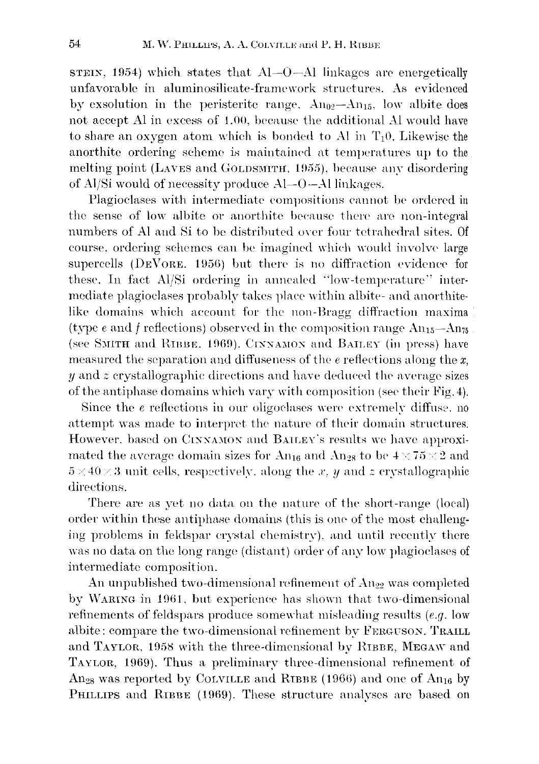STEIN, 1954) which states that AI-O-Al linkages are energetically unfavorable in aluminosilicate-framework structures. As evidenced by exsolution in the peristerite range.  $An_{0}$ <sup>2</sup>- $An_{15}$ , low albite does not accept Al in excesa of 1.00, because the additional Al would have to share an oxygen atom which is bonded to Al in  $T_10$ . Likewise the anorthite ordering scheme is maintained at temperatures up to the melting point (LAVES and GOLDSMITH, 1955), because any disordering of Al/Si would of necessity produce Al-O-Allinkages.

Plagioclases with intermediate compositions cannot be ordered in the sense of low albite or anorthite because there are non-integral numbers of Al and Si to be distributed over four tetrahedral sites. Of course, ordering schemes can be imagined which would involve large supercells  $(DEV$ ORE. 1956) but there is no diffraction evidence for these. In fact Al/Si ordering in annealed "low-temperature" intermediate plagioclases probably takes place within albite- and anorthitelike domains which account for the non-Bragg diffraction maxima (type *e* and *f* reflections) observed in the composition range  $An_{15}-An_{75}$ (see SMITH and RIBBE. 1969). CINNAMON and BAILEY (in press) have measured the separation and diffuseness of the *e* reflections along the *x, y* and *z* crystallographic directions and have deduced the average sizes of the antiphase domains which vary with composition (sec their Fig. 4).

Since the *e* reflections in our oligoclases were extremely diffuse. no attempt was made to interpret the nature of their domain structures. However, based on CINNAMON and BAILEY's results we have approximated the average domain sizes for An<sub>16</sub> and An<sub>28</sub> to be  $4 \times 75 \times 2$  and  $5 \times 40 \times 3$  unit cells, respectively, along the x, y and z crystallographic directions.

There are as yet no data on the nature of the short-range (local) order within these antiphase domains (this is one of the most challenging problems in feldspar crystal chemistry), and until recently there was no data on the long range (distant) order of any low plagioclases of intermediate composition.

An unpublished two-dimensional refinement of  $An_{22}$  was completed by WARING in 1961, but experience has shown that two-dimensional refinements of feldspars produce somewhat misleading results *(e.g.* low albite: compare the two-dimensional refinement by FERGUSON. TRAILL and TAYLOR, 1958 with the three-dimensional by RIBBE, MEGAW and TAYLOR, 1969). Thus a preliminary three-dimensional refinement of An<sub>28</sub> was reported by COLVILLE and RIBBE (1966) and one of An<sub>16</sub> by PHILLIPS and RIBBE (1969). These structure analyses are based on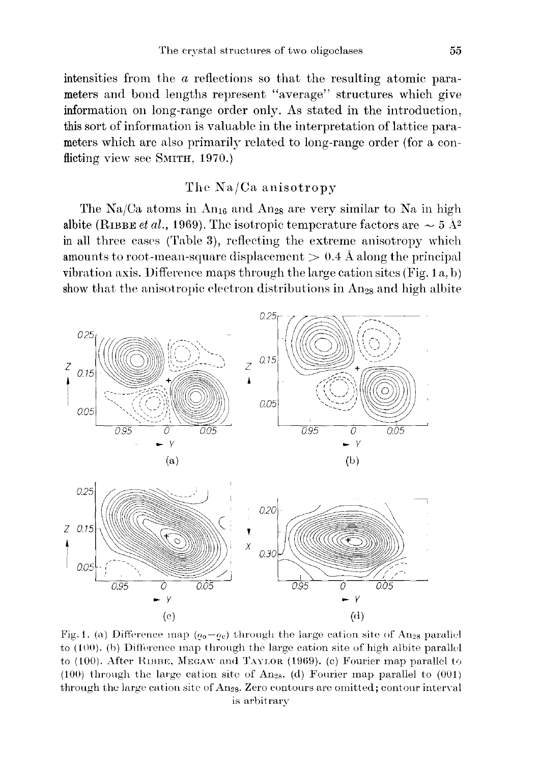intensities from the *a* reflections so that the resulting atomic parameters and bond lengths represent "average" structures which give information on long-range order only. As stated in the introduction, this sort of information is valuable in the interpretation of lattice parameters which are also primarily related to long-range order (for a conflicting view see SMITH,  $1970$ .)

# The Na/Ca anisotropy

The Na/Ca atoms in An<sub>16</sub> and An<sub>28</sub> are very similar to Na in high albite (RIBBE *et al.*, 1969). The isotropic temperature factors are  $\sim 5 \text{ Å}^2$ in all three cases (Table 3), reflecting the extreme anisotropy which amounts to root-mean-square displacement  $> 0.4$  Å along the principal vibration axis. Difference maps through the large cation sites (Fig. 1a, b) show that the anisotropic electron distributions in  $An_{28}$  and high albite



Fig. 1. (a) Difference map  $(o_0 - \rho_c)$  through the large cation site of An<sub>28</sub> parallel to  $(100)$ . (b) Difference map through the large cation site of high albite parallel to  $(100)$ . After RIBBE, MEGAW and TAYLOR  $(1969)$ . (c) Fourier map parallel to (100) through the large cation site of An<sub>28</sub>. (d) Fourier map parallel to  $(001)$ through the large cation site of  $\rm{Ang}_8$ . Zero contours are omitted; contour interval is arbitrary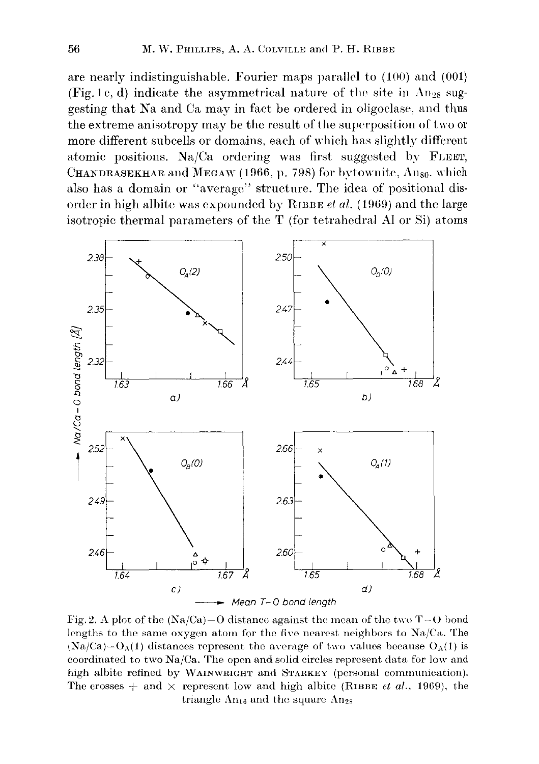are nearly indistinguishable. Fourier maps parallel to (100) and (001) (Fig. 1c, d) indicate the asymmetrical nature of the site in  $An_{28}$  suggesting that Na and Ca may in fact be ordered in oligoclase, and thus the extreme anisotropy may be the result of the superposition of two or more different subcells or domains, each of which has slightly different atomic positions. Na/Ca ordering was first suggested by FLEET, CHANDRASEKHAR and MEGAW (1966, p. 798) for bytownite,  $\text{Ang}_0$ , which also has a domain or "average" structure. The idea of positional disorder in high albite was expounded by RIBBE *et al.* (1969) and the large isotropic thermal parameters of the T (for tetrahedral Al or Si) atoms



Fig. 2. A plot of the  $(Na/Ca)-O$  distance against the mean of the two T- $O$  bond lengths to the same oxygen atom for the five nearest neighbors to  $Na/Ca$ . The  $(Na/Ca)-O<sub>A</sub>(1)$  distances represent the average of two values because  $O<sub>A</sub>(1)$  is coordinated to two Na/Ca. The opon and solid circles represent data for low and high albite refined by WAINWRIGHT and STARKEY (personal communication). The crosses  $+$  and  $\times$  represent low and high albite (RIBBE *et al.*, 1969), the triangle  $An_{16}$  and the square  $An_{28}$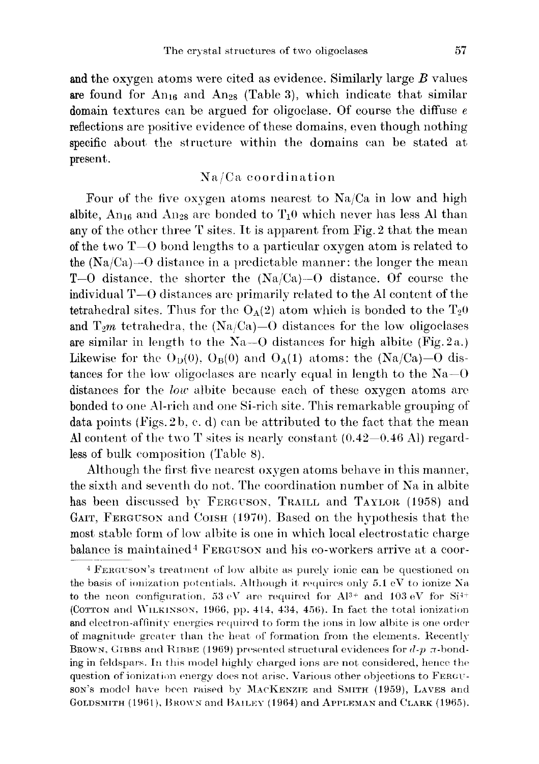and the oxygen atoms were cited as evidence. Similarly large *B* values are found for  $An_{16}$  and  $An_{28}$  (Table 3), which indicate that similar domain textures can be argued for oligoclase. Of course the diffuse *e* reflections are positive evidence of these domains, even though nothing specific about the structure within the domains can be stated at present.

# Na/Ca coordination

Four of the five oxygen atoms nearest to Na/Ca in low and high albite,  $An_{16}$  and  $An_{28}$  are bonded to  $T_10$  which never has less Al than any of the other three T sites. It is apparent from Fig. 2 that the mean of the two  $T=0$  bond lengths to a particular oxygen atom is related to the  $(Na/Ca)$ —O distance in a predictable manner: the longer the mean  $T=0$  distance, the shorter the  $(Na/Ca) = 0$  distance. Of course the  $i$  individual  $T$ -0 distances are primarily related to the Al content of the tetrahedral sites. Thus for the  $O_A(2)$  atom which is bonded to the  $T_20$ and  $T_2m$  tetrahedra, the  $(Na/Ca)$ –O distances for the low oligoclases are similar in length to the  $Na-O$  distances for high albite (Fig. 2a.) Likewise for the  $O_D(0)$ ,  $O_B(0)$  and  $O_A(1)$  atoms: the  $(Na/Ca)$ –O distances for the low oligoclases are nearly equal in length to the  $Na-O$ distances for the *low* albite because each of these oxygen atoms are bonded to one Al-rich and one Si-rich site. This remarkable grouping of data points (Figs. 2b, c. d) can be attributed to the fact that the mean Al content of the two  $T$  sites is nearly constant  $(0.42-0.46 \text{ Al})$  regardless of bulk composition (Table 8).

Although the first five nearest oxygen atoms behave in this manner, the sixth and seventh do not. The coordination number of Na in albite has been discussed by FERGUSON, TRAILL and TAYLOR (1958) and GAIT, FERGUSON and COISH (1970). Based on the hypothesis that the most stable form of low albite is one in which local electrostatic charge balance is maintained<sup>4</sup> FERGUSON and his co-workers arrive at a coor-

<sup>&</sup>lt;sup>4</sup> FERGUSON's treatment of low albite as purely ionic can be questioned on the basis of ionization potentials. Although it requires only 5.1 eV to ionize Xa to the neon configuration, 53 eV are required for  $Al^{3+}$  and 103 eV for Si<sup>4+</sup> (COTTON and WILKINSON, 1966, pp. 414, 434, 456). In fact the total ionization and electron-affinity energies required to form the ions in low albite is one order of magnitude greater than the heat of formation from the elements. Recently BROWN. GIBBS and RIBBE (1969) presented structural evidences for  $d$ -p  $\pi$ -bonding in feldspars. In this model highly charged ions are not considered, hence the question of ionization energy does not arise. Various other objections to FERGUson's model have been raised by MACKENZIE and SMITH (1959), LAVES and GOLDSMITH (1961), BROWN and BAILEY (1964) and APPLEMAN and CLARK (1965).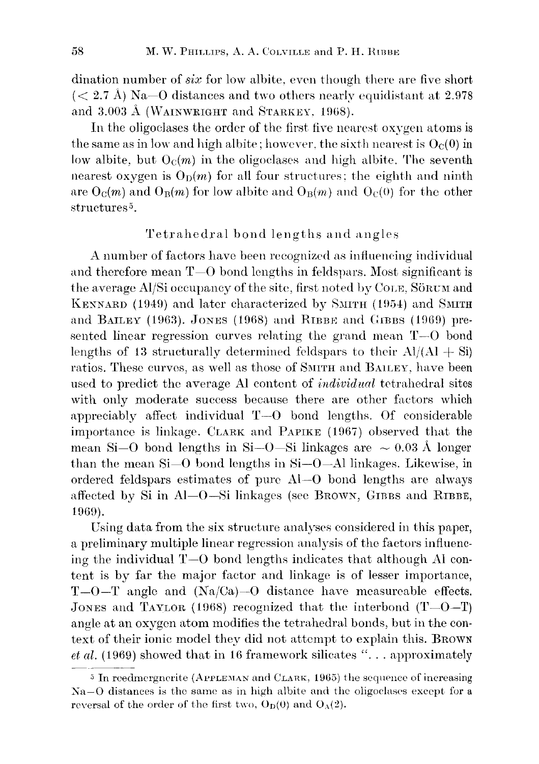dination number of *six* for low albite, even though there are five short  $(< 2.7 \text{ Å})$  Na–O distances and two others nearly equidistant at 2.978 and  $3.003$  Å (WAINWRIGHT and STARKEY, 1968).

In the oligoclases the order of the first five nearest oxygen atoms is the same as in low and high albite; however, the sixth nearest is  $O<sub>c</sub>(0)$  in low albite, but  $O_C(m)$  in the oligoclases and high albite. The seventh nearest oxygen is  $O_D(m)$  for all four structures; the eighth and ninth are  $O_C(m)$  and  $O_B(m)$  for low albite and  $O_B(m)$  and  $O_C(0)$  for the other structures 5.

# Tetrahedral bond lengths and angles

A number of factors havc been recognized as influencing individual and therefore mean  $T$ -O bond lengths in feldspars. Most significant is the average  $A$ */Si* occupancy of the site, first noted by  $C_{OLE}$ ,  $S\ddot{o}$ <sup>RCM</sup> and KENNARD (1949) and later characterized by SMITH (1954) and SMITH and BAILEY (1963). JONES (1968) and RIBBE and GIBBS (1969) presented linear regression curves relating the grand mean  $T-0$  bond lengths of 13 structurally determined feldspars to their  $Al/(Al + Si)$ ratios. These curves, as well as those of SMITH and BAILEY, have been used to predict thc average Al content of *individual* tetrahedral sites with only moderate success because there are other factors which appreciably affect individual  $T=0$  bond lengths. Of considerable importance is linkage. CLARK and PAPIKE  $(1967)$  observed that the mean Si-O bond lengths in Si-O-Si linkages are  $\sim 0.03$  Å longer than the mean Si-O bond lengths in Si-O-Allinkages. Likewise, in ordered feldspars estimates of pure AI-O bond lengths are always affected by Si in Al-O-Si linkages (see BROWN, GIBBS and RIBBE, 1969).

Using data from the six structure analyses considered in this paper, a preliminary multiple linear regression analysis of the factors influencing the individual  $T-0$  bond lengths indicates that although Al content is by far the major factor and linkage is of lesser importance,  $T$ -O-T angle and  $(Na/Ca)$ -O distance have measureable effects. JONES and TAYLOR (1968) recognized that the interbond  $(T - 0 - T)$ angle at an oxygen atom modifies the tetrahedral bonds, but in the context of their ionic model they did not attempt to explain this. BROWN *et al.* (1969) showed that in 16 framework silicates "... approximately

<sup>&</sup>lt;sup>5</sup> In reedmergnerite (APPLEMAN and CLARK, 1965) the sequence of increasing  $Na-O$  distances is the same as in high albite and the oligoclases except for a reversal of the order of the first two,  $O_D(0)$  and  $O_A(2)$ .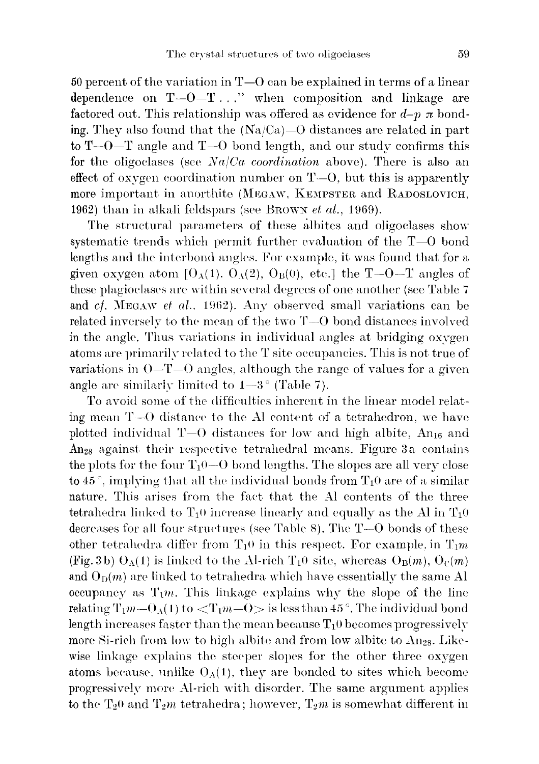50 percent of the variation in  $T=0$  can be explained in terms of a linear dependence on  $T-O-T...$ " when composition and linkage are factored out. This relationship was offered as evidence for  $d-p \pi$  bonding. They also found that the  $(Na/Ca)$ –O distances are related in part to  $T$ - $0$ - $T$  angle and  $T$ - $0$  bond length, and our study confirms this for the oligoclases (see *Na/Ca coordination* above). There is also an effect of oxygen coordination number on  $T=0$ , but this is apparently more important in anorthite (MEGAW, KEMPSTER and RADOSLOVICH, 1962) than in alkali feldspars (see BROWN *et al.*, 1969).

The structural parameters of these albites and oligoclases show systematic trends which permit further evaluation of the  $T=0$  bond lengths and the interbond angles. For example, it was found that for a given oxygen atom  $[0_A(1), 0_A(2), 0_B(0), \text{ etc.}]$  the T-O-T angles of these plagioclases are within several degrees of one another (see Table 7 and *cf.* MEGAW *et al.*, 1962). Any observed small variations can be related inversely to the mean of the two  $T=O$  bond distances involved in the angle. Thus variations in individual angles at bridging oxygen atoms are primarily related to the T site occupancies. This is not true of variations in  $O-T=O$  angles, although the range of values for a given angle are similarly limited to  $1-3$ ° (Table 7).

To avoid some of the difficulties inherent in the linear model relating mean  $T=0$  distance to the Al content of a tetrahedron, we have plotted individual  $T=0$  distances for low and high albite, An<sub>16</sub> and An28 against their respective tetrahedral means. Figure 3a contains the plots for the four  $T_1$ 0-0 bond lengths. The slopes are all very close to  $45^\circ$ , implying that all the individual bonds from  $T_10$  are of a similar nature. This arises from the fact that the Al contents of the three tetrahedra linked to  $T_1$ <sup>0</sup> increase linearly and equally as the Al in  $T_1$ <sup>0</sup> decreases for all four structures (see Table 8). The  $T=0$  bonds of these other tetrahedra differ from  $T_1$ <sup>0</sup> in this respect. For example, in  $T_1m$ (Fig. 3b)  $O_A(1)$  is linked to the Al-rich  $T_10$  site, whereas  $O_B(m)$ ,  $O_C(m)$ and  $O_{\text{D}}(m)$  are linked to tetrahedra which have essentially the same Al occupancy as  $T_1m$ . This linkage explains why the slope of the line relating  $T_1m-O_A(1)$  to  $\langle T_1m-O \rangle$  is less than 45°. The individual bond length increases faster than the mean because  $T_10$  becomes progressively more Si-rich from low to high albite and from low albite to An<sub>28</sub>. Likewise linkage explains the steeper slopes for the other three oxygen atoms because, unlike  $O_A(1)$ , they are bonded to sites which become progressively more Al-rich with disorder. The same argument applies to the  $T_2$ <sup>0</sup> and  $T_2$ <sup>*m*</sup> tetrahedra; however,  $T_2$ *m* is somewhat different in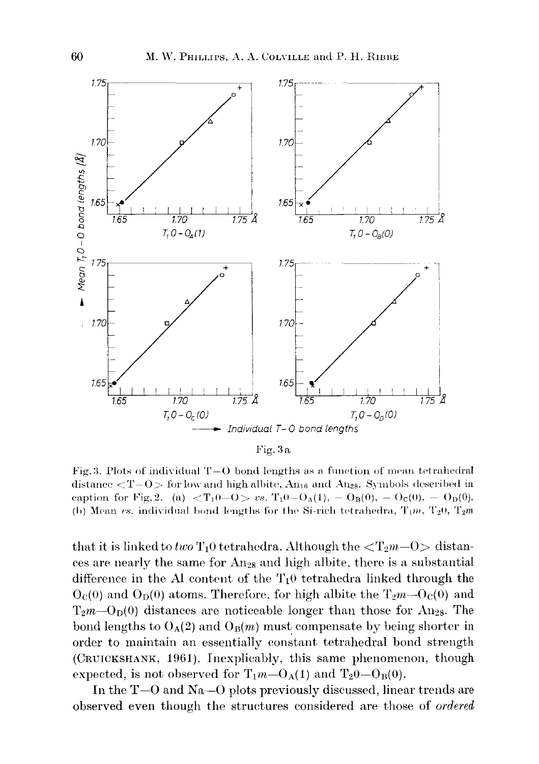

Fig.3a

Fig. 3. Plots of individual  $T-O$  bond lengths as a function of mean tetrahedral distance  $\langle T-O \rangle$  for low and high albite, An<sub>16</sub> and An<sub>28</sub>. Symbols described in caption for Fig. 2. (a)  $\langle T_10-O \rangle$  *vs.*  $T_10-O_A(1), -O_B(0), -O_C(0), -O_D(0).$ (b) Mean vs. individual bond lengths for the Si-rich tetrahedra,  $T_1m$ ,  $T_20$ ,  $T_2m$ 

that it is linked to *two*  $T_1$ <sup>O</sup> tetrahedra. Although the  $\langle T_2m-0\rangle$  distances are nearly the same for An28 and high albite, there is a substantial difference in the Al content of the  $T_1$ <sup>0</sup> tetrahedra linked through the  $O<sub>C</sub>(0)$  and  $O<sub>D</sub>(0)$  atoms. Therefore, for high albite the T<sub>2</sub>*m*- $O<sub>C</sub>(0)$  and  $T_2m-O<sub>D</sub>(0)$  distances are noticeable longer than those for An<sub>28</sub>. The bond lengths to  $O_A(2)$  and  $O_B(m)$  must compensate by being shorter in order to maintain an essentially constant tetrahedral bond strength (CRUICKSHANK, 1961). Inexplicably, this same phenomenon, though expected, is not observed for  $T_1m-O_A(1)$  and  $T_20-O_B(0)$ .

In the T-O and Na-O plots previously discussed, linear trends are observed even though the structures considered are those of *ordered*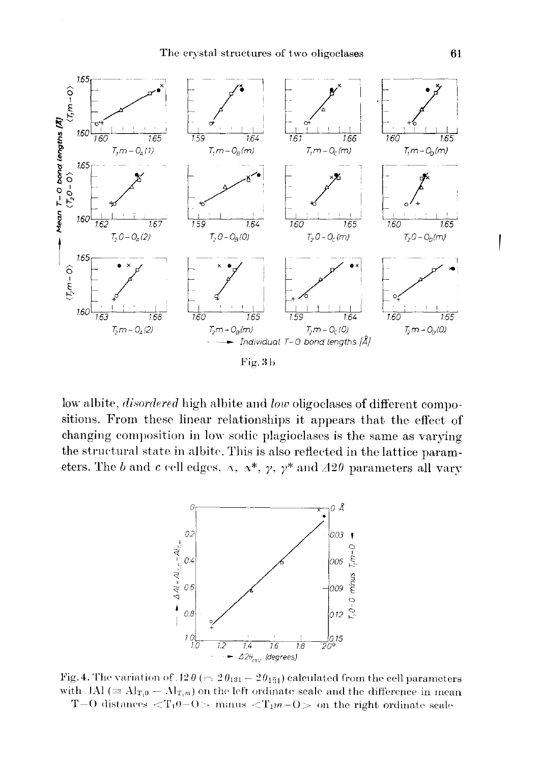

low albite, *disordered* high albite and *low* oligoclases of different compositions. From these linear relationships it appears that the effect of changing composition in low sodic plagioclases is the same as varying the structural state in albite. This is also reflected in the lattice parameters. The b and c cell edges,  $\alpha$ ,  $\alpha^*$ ,  $\gamma$ ,  $\gamma^*$  and  $\Delta 2\theta$  parameters all vary



Fig. 4. The variation of  $12\theta (= 2\theta_{131} - 2\theta_{131})$  calculated from the cell parameters with  $\text{IAI} \equiv \text{Al}_{\text{T}_10} - \text{Al}_{\text{T}_1m}$  on the left ordinate seale and the difference in mean T-O distances  $\langle T_10$ -O minus  $\langle T_1m-0\rangle$  on the right ordinate scale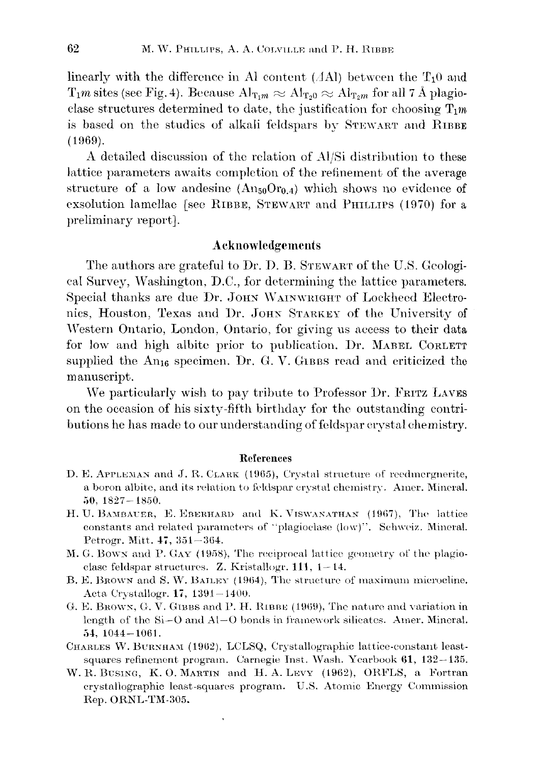linearly with the difference in Al content ( $\Delta$ Al) between the  $T_1$ <sup>0</sup> and  $T_1m$  sites (see Fig. 4). Because  $Al_{T_1m} \approx Al_{T_20} \approx Al_{T_2m}$  for all 7 Å plagioclase structures determined to date, the justification for choosing  $T_1m$ is based on the studies of alkali feldspars by STEWART and RIBBE (1969).

A detailed discussion of the relation of Al/Si distribution to these lattice parameters awaits completion of the refinement of the average structure of a low andesine  $(An_{50}Or_{0.4})$  which shows no evidence of exsolution lamellae [see RIBBE, STEWART and PHILLIPS (1970) for a preliminary report].

# Acknowledgements

The authors are grateful to Dr. D. B. STEWART of the U.S. Geological Survey, Washington, D.O., for determining the lattice parameters. Special thanks are due Dr. JOHN WAINWRIGHT of Lockheed Electronics, Houston, Texas and Dr. JOHN STARKEY of the University of Western Ontario, London, Ontario, for giving us access to their data for low and high albite prior to publication. Dr. MABEL OORLETT supplied the  $An_{16}$  specimen. Dr. G. V. GIBBS read and criticized the manuscript.

We particularly wish to pay tribute to Professor Dr. FRITZ LAVES on the occasion of his sixty-fifth birthday for the outstanding contributions he has made to our understanding of feldspar crystal chemistry.

#### References

- D. E. APPLEMAN and J. R. CLARK (1965), Crystal structure of reedmergnerite, a boron albite, and its relation to feldspar crystal chemistry. Amer. Mineral. 50, 1827-18.50.
- H. U. BAMBAUER, E. EBERHARD and K. VISWANATHAN (1967), The lattice constants and related parameters of "plagioclase (low)". Schweiz, Mineral. Petrogr. Mitt.  $47, 351 - 364.$
- M. G. Bown and P. Gay (1958), The reciprocal lattice geometry of the plagioclase feldspar structures. Z. Kristallogr.  $111, 1-14$ .
- B. E. Brown and S. W. BAILEY (1964), The structure of maximum microcline, Acta Crystallogr. 17, 1391-140U.
- G. E. BROWN, G. V. GUBBS and P. H. RIBBE (1969), The nature and variation in length of the 8i-0 and Al-O bonds in framework silicates. Amer. Mineral. 54, 1044-10G1.
- CHARLES W. BURNHAM (1962), LCLSQ, Crystallographic lattice-constant leastsquares refinement program. Carnegie Inst. Wash. Yearbook 61, 132-135.
- W. R. DUSING, K. O. MARTIN and H. A. LEVY (19G2), ORFLS, a Fortran crystallographic least-squares program. U.S. Atomic Energy Commission Rep. ORNL-TM-305.

 $\ddot{\phantom{1}}$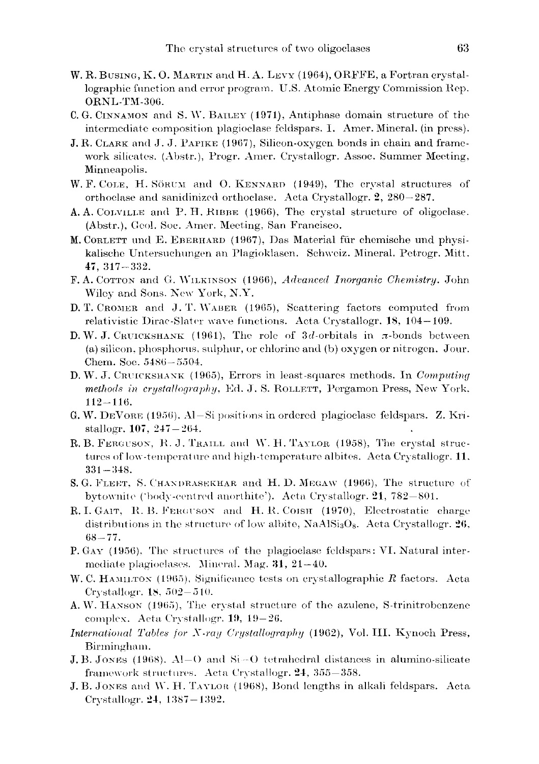- W. R. BUSING, K. O. MARTIN and H. A. LEVY (1964), ORFFE, a Fortran crystallographic function and error program. U.S. Atomic Energy Commission Rep. ORNL-TM-306.
- C.G. CINNAMON and S.W. BAILEY (1971), Antiphase domain structure of the intermediate composition plagioclase feldspars. I. Amer. Mineral. (in press).
- J. R. CLARK and J. J. PAPIKE (1967), Silicon-oxygen bonds in chain and framework silicates. (Abstr.), Progr. Amer. Crystallogr. Assoc. Summer Meeting, Minneapolis.
- W.F. COLE, H. SÖRUM and O. KENNARD (1949), The crystal structures of orthoclase and sanidinized orthoclase. Acta Crystallogr. 2, 280-287.
- A. A. COLVILLE and P. H. RIBBE (1966), The crystal structure of oligoclase. (Abstr.), Geol. Soc. Amer. Meeting, San Francisco.
- M. CORLETT und E. EBERHARD (1967), Das Material für chemische und physikalische Untersuchungen an Plagioklasen. Schweiz. Mineral. Petrogr. Mitt.  $47, 317 - 332.$
- F. A. COTTON and G. WILKINSON (1966), Advanced Inorganic Chemistry, John Wiley and Sons. New York, N.Y.
- D. T. CROMER and J. T. WABER (1965), Scattering factors computed from relativistic Dirac-Slater wave functions. Acta Crystallogr. 18, 104-109.
- D.W. J. CRUICKSHANK (1961), The role of 3d-orbitals in  $\pi$ -bonds between (a) silicon, phosphorus, sulphur, or chlorine and (b) oxygen or nitrogen. Jour. Chem. Soc. 5486-5504.
- D. W. J. CRUICKSHANK (1965), Errors in least-squares methods. In Computing methods in crystallography, Ed. J. S. ROLLETT, Pergamon Press, New York,  $112 - 116.$
- G. W. DEVORE (1956), Al-Si positions in ordered plagioclase feldspars. Z. Kristallogr.  $107, 247 - 264.$
- R. B. FERGUSON, R. J. TRAILL and W. H. TAYLOR (1958), The crystal structures of low-temperature and high-temperature albites. Acta Crystallogr. 11,  $331 - 348.$
- S. G. FLEET, S. CHANDRASEKHAR and H. D. MEGAW (1966), The structure of bytownite ('body-centred anorthite'). Acta Crystallogr. 21, 782–801.
- R. I. GAIT, R. B. FERGUSON and H. R. COISH (1970), Electrostatic charge distributions in the structure of low albite,  $\text{NaAlSi}_3\text{O}_8$ . Acta Crystallogr. 26,  $68 - 77.$
- P. GAY (1956), The structures of the plagioelase feldspars: VI. Natural intermediate plagioclases. Mineral. Mag.  $31, 21-40$ .
- W. C. HAMILTON (1965), Significance tests on crystallographic  $R$  factors. Acta Crystallogr. 18,  $502 - 510$ .
- A.W. HANSON (1965), The crystal structure of the azulene, S-trinitrobenzene complex. Acta Crystallogr. 19, 19-26.
- International Tables for X-ray Crystallography (1962), Vol. III. Kynoch Press, Birmingham.
- J. B. JONES (1968). Al-O and Si-O tetrahedral distances in alumino-silicate framework structures. Acta Crystallogr. 24, 355–358.
- J. B. JONES and W. H. TAYLOR (1968), Bond lengths in alkali feldspars. Acta Crystallogr.  $24, 1387 - 1392.$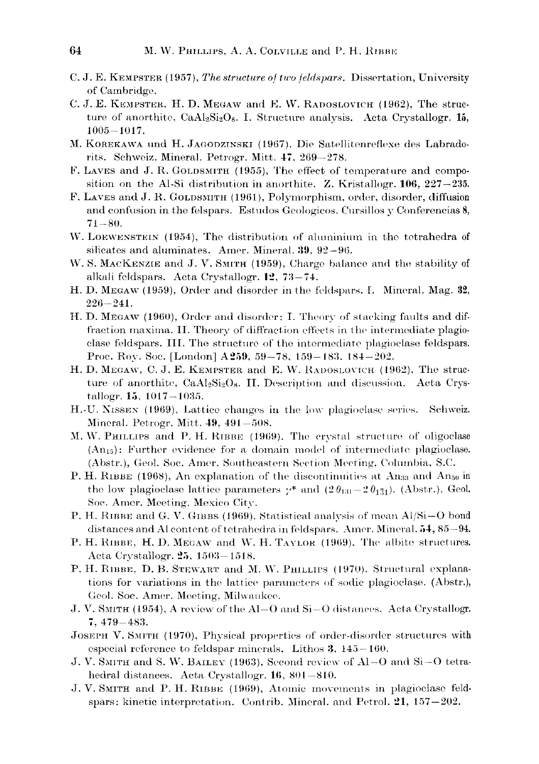- C. J. E. KEMPSTER (1957), The structure of two feldspars. Dissertation, University of Cambridge.
- C. J. E. KEMPSTER, H. D. MEGAW and E. W. RADOSLOVICH (1962), The structure of anorthite, CaAl<sub>2</sub>Si<sub>2</sub>O<sub>8</sub>. I. Structure analysis. Acta Crystallogr. 15.  $1005 - 1017$ .
- M. KOREKAWA und H. JAGODZINSKI (1967), Die Satellitenreflexe des Labradorits. Schweiz. Mineral. Petrogr. Mitt. 47, 269-278.
- F. LAVES and J. R. GOLDSMITH (1955), The effect of temperature and composition on the Al-Si distribution in anorthite. Z. Kristallogr. 106, 227-235.
- F. LAVES and J. R. GOLDSMITH (1961), Polymorphism, order, disorder, diffusion and confusion in the felspars. Estudos Geologicos, Cursillos y Conferencias 8,  $71 - 80.$
- W. LOEWENSTEIN (1954), The distribution of aluminium in the tetrahedra of silicates and aluminates. Amer. Mineral. 39, 92-96.
- W. S. MACKENZIE and J. V. SMITH (1959), Charge balance and the stability of alkali feldspars. Acta Crystallogr. 12, 73-74.
- H. D. MEGAW (1959), Order and disorder in the feldspars, I. Mineral, Mag. 32,  $226 - 241.$
- H. D. MEGAW (1960), Order and disorder: I. Theory of stacking faults and diffraction maxima. II. Theory of diffraction effects in the intermediate plagioclase feldspars. III. The structure of the intermediate plagioclase feldspars. Proc. Roy. Soc. [London] A259, 59-78, 159-183, 184-202.
- H. D. MEGAW, C. J. E. KEMPSTER and E. W. RADOSLOVICH (1962). The structure of anorthite, CaAl2Si2O<sub>8</sub>. II. Description and discussion. Acta Crystallogr. 15, 1017-1035.
- H. U. NISSEN (1969), Lattice changes in the low plagioclase series. Schweiz. Mineral. Petrogr. Mitt. 49, 491-508.
- M. W. PHILLIPS and P. H. RIBBE (1969). The crystal structure of oligoclase (An<sub>15</sub>): Further evidence for a domain model of intermediate plagioclase. (Abstr.), Geol. Soc. Amer. Southeastern Section Meeting, Columbia, S.C.
- P. H. RIBBE (1968), An explanation of the discontinuities at  $\rm{An}_{33}$  and  $\rm{An}_{50}$  in the low plagioclase lattice parameters  $\gamma^*$  and  $(2 \theta_{131} - 2 \theta_{131})$ . (Abstr.), Geol. Soe. Amer. Meeting, Mexico City.
- P. H. RIBBE and G. V. GIBBS (1969), Statistical analysis of mean Al/Si-O bond distances and Al content of tetrahedra in feldspars. Amer. Mineral. 54, 85-94.
- P. H. RIBBE, H. D. MEGAW and W. H. TAYLOR (1969), The albite structures. Acta Crystallogr. 25, 1503-1518.
- P. H. RIBBE, D. B. STEWART and M. W. PHILLIPS (1970). Structural explanations for variations in the lattice parameters of sodic plagioclase. (Abstr.), Geol. Soc. Amer. Meeting, Milwaukee.
- J. V. SMITH (1954), A review of the Al-O and Si-O distances. Acta Crystallogr.  $7,479 - 483.$
- JOSEPH V. SMITH (1970), Physical properties of order-disorder structures with especial reference to feldspar minerals. Lithos  $3, 145-160$ .
- J. V. SMITH and S. W. BAILEY (1963), Second review of Al-O and Si-O tetrahedral distances. Acta Crystallogr. 16, 801-810.
- J. V. SMITH and P. H. RIBBE (1969), Atomic movements in plagioclase feldspars: kinetic interpretation. Contrib. Mineral. and Petrol.  $21, 157-202$ .